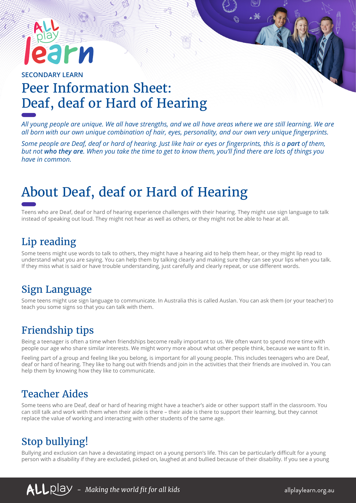# IM

## **SECONDARY LEARN** Peer Information Sheet: Deaf, deaf or Hard of Hearing

*All young people are unique. We all have strengths, and we all have areas where we are still learning. We are all born with our own unique combination of hair, eyes, personality, and our own very unique fingerprints.* 

*Some people are Deaf, deaf or hard of hearing. Just like hair or eyes or fingerprints, this is a part of them, but not who they are. When you take the time to get to know them, you'll find there are lots of things you have in common.*

# About Deaf, deaf or Hard of Hearing

Teens who are Deaf, deaf or hard of hearing experience challenges with their hearing. They might use sign language to talk instead of speaking out loud. They might not hear as well as others, or they might not be able to hear at all.

#### Lip reading

Some teens might use words to talk to others, they might have a hearing aid to help them hear, or they might lip read to understand what you are saying. You can help them by talking clearly and making sure they can see your lips when you talk. If they miss what is said or have trouble understanding, just carefully and clearly repeat, or use different words.

#### Sign Language

Some teens might use sign language to communicate. In Australia this is called Auslan. You can ask them (or your teacher) to teach you some signs so that you can talk with them.

### Friendship tips

Being a teenager is often a time when friendships become really important to us. We often want to spend more time with people our age who share similar interests. We might worry more about what other people think, because we want to fit in.

Feeling part of a group and feeling like you belong, is important for all young people. This includes teenagers who are Deaf, deaf or hard of hearing. They like to hang out with friends and join in the activities that their friends are involved in. You can help them by knowing how they like to communicate.

#### Teacher Aides

Some teens who are Deaf, deaf or hard of hearing might have a teacher's aide or other support staff in the classroom. You can still talk and work with them when their aide is there – their aide is there to support their learning, but they cannot replace the value of working and interacting with other students of the same age.

# Stop bullying!

Bullying and exclusion can have a devastating impact on a young person's life. This can be particularly difficult for a young person with a disability if they are excluded, picked on, laughed at and bullied because of their disability. If you see a young